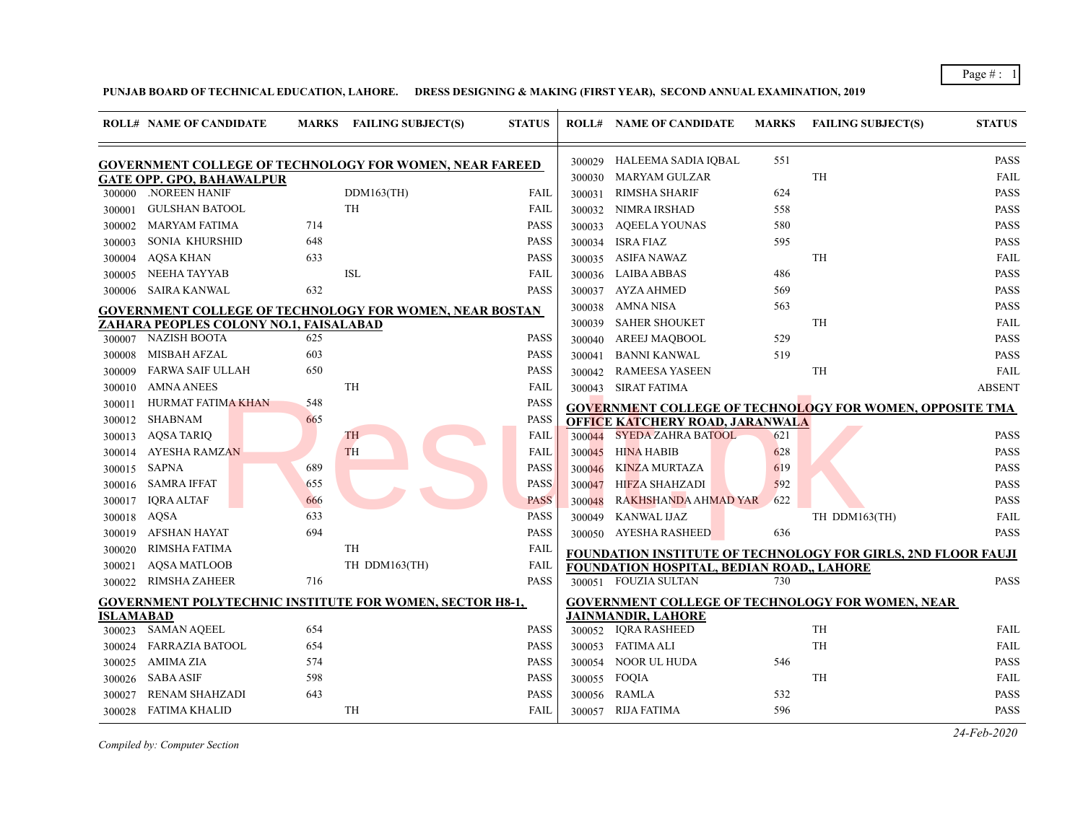Page # : 1

**PUNJAB BOARD OF TECHNICAL EDUCATION, LAHORE. DRESS DESIGNING & MAKING (FIRST YEAR), SECOND ANNUAL EXAMINATION, 2019**

|           | <b>ROLL# NAME OF CANDIDATE</b>                                  |     | MARKS FAILING SUBJECT(S) | <b>STATUS</b> |        | <b>ROLL# NAME OF CANDIDATE</b>            | <b>MARKS</b> | <b>FAILING SUBJECT(S)</b>                                            | <b>STATUS</b> |
|-----------|-----------------------------------------------------------------|-----|--------------------------|---------------|--------|-------------------------------------------|--------------|----------------------------------------------------------------------|---------------|
|           | <b>GOVERNMENT COLLEGE OF TECHNOLOGY FOR WOMEN, NEAR FAREED</b>  |     |                          |               |        | 300029 HALEEMA SADIA IQBAL                | 551          |                                                                      | <b>PASS</b>   |
|           | <b>GATE OPP. GPO, BAHAWALPUR</b>                                |     |                          |               | 300030 | MARYAM GULZAR                             |              | <b>TH</b>                                                            | <b>FAIL</b>   |
|           | 300000 .NOREEN HANIF                                            |     | DDM163(TH)               | <b>FAIL</b>   | 300031 | RIMSHA SHARIF                             | 624          |                                                                      | PASS          |
| 300001    | <b>GULSHAN BATOOL</b>                                           |     | <b>TH</b>                | FAIL          |        | 300032 NIMRA IRSHAD                       | 558          |                                                                      | <b>PASS</b>   |
| 300002    | <b>MARYAM FATIMA</b>                                            | 714 |                          | <b>PASS</b>   | 300033 | AQEELA YOUNAS                             | 580          |                                                                      | <b>PASS</b>   |
| 300003    | <b>SONIA KHURSHID</b>                                           | 648 |                          | <b>PASS</b>   |        | 300034 ISRA FIAZ                          | 595          |                                                                      | <b>PASS</b>   |
| 300004    | <b>AQSA KHAN</b>                                                | 633 |                          | <b>PASS</b>   | 300035 | ASIFA NAWAZ                               |              | <b>TH</b>                                                            | <b>FAIL</b>   |
| 300005    | NEEHA TAYYAB                                                    |     | <b>ISL</b>               | <b>FAIL</b>   |        | 300036 LAIBA ABBAS                        | 486          |                                                                      | <b>PASS</b>   |
| 300006    | SAIRA KANWAL                                                    | 632 |                          | <b>PASS</b>   |        | 300037 AYZA AHMED                         | 569          |                                                                      | <b>PASS</b>   |
|           | <b>GOVERNMENT COLLEGE OF TECHNOLOGY FOR WOMEN, NEAR BOSTAN</b>  |     |                          |               | 300038 | AMNA NISA                                 | 563          |                                                                      | <b>PASS</b>   |
|           | ZAHARA PEOPLES COLONY NO.1, FAISALABAD                          |     |                          |               | 300039 | <b>SAHER SHOUKET</b>                      |              | TH                                                                   | FAIL          |
|           | 300007 NAZISH BOOTA                                             | 625 |                          | <b>PASS</b>   | 300040 | AREEJ MAQBOOL                             | 529          |                                                                      | <b>PASS</b>   |
| 300008    | MISBAH AFZAL                                                    | 603 |                          | <b>PASS</b>   | 300041 | BANNI KANWAL                              | 519          |                                                                      | <b>PASS</b>   |
| 300009    | <b>FARWA SAIF ULLAH</b>                                         | 650 |                          | <b>PASS</b>   | 300042 | RAMEESA YASEEN                            |              | TH                                                                   | FAIL          |
| 300010    | AMNA ANEES                                                      |     | TH                       | FAIL          |        | 300043 SIRAT FATIMA                       |              |                                                                      | <b>ABSENT</b> |
| 300011    | HURMAT FATIMA KHAN                                              | 548 |                          | <b>PASS</b>   |        |                                           |              | <b>GOVERNMENT COLLEGE OF TECHNOLOGY FOR WOMEN, OPPOSITE TMA</b>      |               |
| 300012    | SHABNAM                                                         | 665 |                          | <b>PASS</b>   |        | <b>OFFICE KATCHERY ROAD, JARANWALA</b>    |              |                                                                      |               |
|           | 300013 AQSA TARIQ                                               |     | TH                       | <b>FAIL</b>   | 300044 | <b>SYEDA ZAHRA BATOOL</b>                 | 621          |                                                                      | <b>PASS</b>   |
| 300014    | <b>AYESHA RAMZAN</b>                                            |     | <b>TH</b>                | <b>FAIL</b>   | 300045 | <b>HINA HABIB</b>                         | 628          |                                                                      | <b>PASS</b>   |
| 300015    | SAPNA                                                           | 689 |                          | <b>PASS</b>   | 300046 | KINZA MURTAZA                             | 619          |                                                                      | <b>PASS</b>   |
| 300016    | <b>SAMRA IFFAT</b>                                              | 655 |                          | <b>PASS</b>   | 300047 | HIFZA SHAHZADI                            | 592          |                                                                      | <b>PASS</b>   |
| 300017    | <b>IQRA ALTAF</b>                                               | 666 |                          | <b>PASS</b>   | 300048 | RAKHSHANDA AHMAD YAR                      | 622          |                                                                      | <b>PASS</b>   |
| 300018    | AQSA                                                            | 633 |                          | <b>PASS</b>   | 300049 | KANWAL IJAZ                               |              | TH DDM163(TH)                                                        | <b>FAIL</b>   |
| 300019    | AFSHAN HAYAT                                                    | 694 |                          | <b>PASS</b>   |        | 300050 AYESHA RASHEED                     | 636          |                                                                      | <b>PASS</b>   |
| 300020    | RIMSHA FATIMA                                                   |     | TH                       | <b>FAIL</b>   |        |                                           |              | <b>FOUNDATION INSTITUTE OF TECHNOLOGY FOR GIRLS, 2ND FLOOR FAUJI</b> |               |
| 300021    | <b>AQSA MATLOOB</b>                                             |     | TH DDM163(TH)            | FAIL          |        | FOUNDATION HOSPITAL, BEDIAN ROAD,, LAHORE |              |                                                                      |               |
|           | 300022 RIMSHA ZAHEER                                            | 716 |                          | <b>PASS</b>   |        | 300051 FOUZIA SULTAN                      | 730          |                                                                      | <b>PASS</b>   |
|           | <b>GOVERNMENT POLYTECHNIC INSTITUTE FOR WOMEN, SECTOR H8-1,</b> |     |                          |               |        |                                           |              | <b>GOVERNMENT COLLEGE OF TECHNOLOGY FOR WOMEN, NEAR</b>              |               |
| ISLAMABAD |                                                                 |     |                          |               |        | <b>JAINMANDIR, LAHORE</b>                 |              |                                                                      |               |
|           | 300023 SAMAN AQEEL                                              | 654 |                          | <b>PASS</b>   |        | 300052 IQRA RASHEED                       |              | <b>TH</b>                                                            | <b>FAIL</b>   |
| 300024    | <b>FARRAZIA BATOOL</b>                                          | 654 |                          | <b>PASS</b>   |        | 300053 FATIMA ALI                         |              | TH                                                                   | <b>FAIL</b>   |
| 300025    | AMIMA ZIA                                                       | 574 |                          | <b>PASS</b>   |        | 300054 NOOR UL HUDA                       | 546          |                                                                      | <b>PASS</b>   |
| 300026    | <b>SABA ASIF</b>                                                | 598 |                          | <b>PASS</b>   |        | 300055 FOQIA                              |              | <b>TH</b>                                                            | <b>FAIL</b>   |
| 300027    | <b>RENAM SHAHZADI</b>                                           | 643 |                          | <b>PASS</b>   |        | 300056 RAMLA                              | 532          |                                                                      | <b>PASS</b>   |
|           | 300028 FATIMA KHALID                                            |     | TH                       | <b>FAIL</b>   |        | 300057 RIJA FATIMA                        | 596          |                                                                      | <b>PASS</b>   |

*Compiled by: Computer Section*

*24-Feb-2020*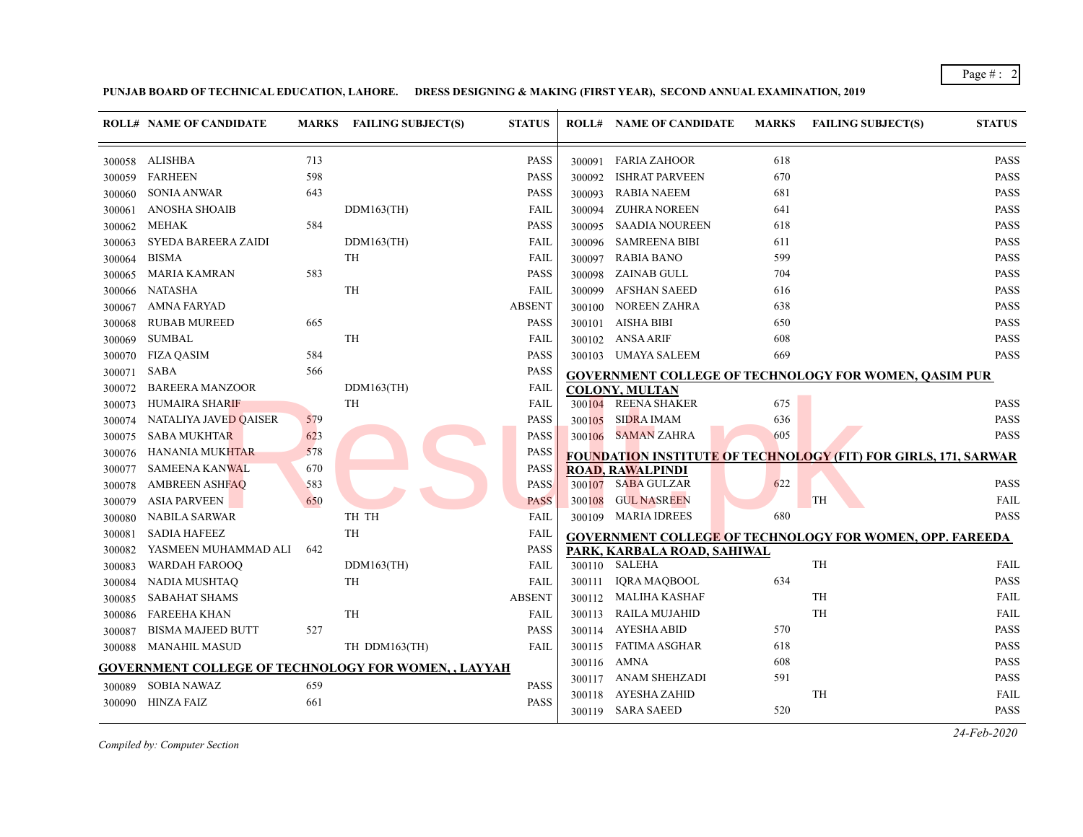Page # : 2

**PUNJAB BOARD OF TECHNICAL EDUCATION, LAHORE. DRESS DESIGNING & MAKING (FIRST YEAR), SECOND ANNUAL EXAMINATION, 2019**

|        | <b>ROLL# NAME OF CANDIDATE</b> |     | MARKS FAILING SUBJECT(S)                                    | <b>STATUS</b> |        | <b>ROLL# NAME OF CANDIDATE</b> | <b>MARKS</b> | <b>FAILING SUBJECT(S)</b>                                       | <b>STATUS</b> |
|--------|--------------------------------|-----|-------------------------------------------------------------|---------------|--------|--------------------------------|--------------|-----------------------------------------------------------------|---------------|
|        | 300058 ALISHBA                 | 713 |                                                             | <b>PASS</b>   | 300091 | <b>FARIA ZAHOOR</b>            | 618          |                                                                 | <b>PASS</b>   |
| 300059 | <b>FARHEEN</b>                 | 598 |                                                             | <b>PASS</b>   | 300092 | <b>ISHRAT PARVEEN</b>          | 670          |                                                                 | PASS          |
| 300060 | <b>SONIA ANWAR</b>             | 643 |                                                             | <b>PASS</b>   | 300093 | <b>RABIA NAEEM</b>             | 681          |                                                                 | PASS          |
| 300061 | <b>ANOSHA SHOAIB</b>           |     | $DDM163$ (TH)                                               | FAIL          | 300094 | <b>ZUHRA NOREEN</b>            | 641          |                                                                 | <b>PASS</b>   |
| 300062 | <b>MEHAK</b>                   | 584 |                                                             | <b>PASS</b>   | 300095 | <b>SAADIA NOUREEN</b>          | 618          |                                                                 | <b>PASS</b>   |
| 300063 | SYEDA BAREERA ZAIDI            |     | $DDM163$ (TH)                                               | FAIL          | 300096 | <b>SAMREENA BIBI</b>           | 611          |                                                                 | <b>PASS</b>   |
| 300064 | <b>BISMA</b>                   |     | <b>TH</b>                                                   | FAIL          | 300097 | <b>RABIA BANO</b>              | 599          |                                                                 | <b>PASS</b>   |
| 300065 | <b>MARIA KAMRAN</b>            | 583 |                                                             | <b>PASS</b>   | 300098 | <b>ZAINAB GULL</b>             | 704          |                                                                 | <b>PASS</b>   |
| 300066 | <b>NATASHA</b>                 |     | TH                                                          | <b>FAIL</b>   | 300099 | <b>AFSHAN SAEED</b>            | 616          |                                                                 | <b>PASS</b>   |
| 300067 | <b>AMNA FARYAD</b>             |     |                                                             | <b>ABSENT</b> | 300100 | <b>NOREEN ZAHRA</b>            | 638          |                                                                 | <b>PASS</b>   |
| 300068 | <b>RUBAB MUREED</b>            | 665 |                                                             | <b>PASS</b>   | 300101 | <b>AISHA BIBI</b>              | 650          |                                                                 | <b>PASS</b>   |
| 300069 | <b>SUMBAL</b>                  |     | TH                                                          | FAIL          | 300102 | <b>ANSA ARIF</b>               | 608          |                                                                 | <b>PASS</b>   |
| 300070 | <b>FIZA QASIM</b>              | 584 |                                                             | <b>PASS</b>   | 300103 | UMAYA SALEEM                   | 669          |                                                                 | <b>PASS</b>   |
| 300071 | <b>SABA</b>                    | 566 |                                                             | <b>PASS</b>   |        |                                |              | <b>GOVERNMENT COLLEGE OF TECHNOLOGY FOR WOMEN, OASIM PUR</b>    |               |
| 300072 | <b>BAREERA MANZOOR</b>         |     | $DDM163$ (TH)                                               | FAIL          |        | <b>COLONY, MULTAN</b>          |              |                                                                 |               |
| 300073 | <b>HUMAIRA SHARIF</b>          |     | TH                                                          | FAIL          | 300104 | <b>REENA SHAKER</b>            | 675          |                                                                 | <b>PASS</b>   |
| 300074 | NATALIYA JAVED QAISER          | 579 |                                                             | <b>PASS</b>   | 300105 | <b>SIDRA IMAM</b>              | 636          |                                                                 | <b>PASS</b>   |
| 300075 | <b>SABA MUKHTAR</b>            | 623 |                                                             | <b>PASS</b>   | 300106 | <b>SAMAN ZAHRA</b>             | 605          |                                                                 | <b>PASS</b>   |
| 300076 | <b>HANANIA MUKHTAR</b>         | 578 |                                                             | PASS          |        |                                |              | FOUNDATION INSTITUTE OF TECHNOLOGY (FIT) FOR GIRLS, 171, SARWAR |               |
| 300077 | <b>SAMEENA KANWAL</b>          | 670 |                                                             | <b>PASS</b>   |        | <b>ROAD, RAWALPINDI</b>        |              |                                                                 |               |
| 300078 | <b>AMBREEN ASHFAQ</b>          | 583 |                                                             | <b>PASS</b>   | 300107 | <b>SABA GULZAR</b>             | 622          |                                                                 | <b>PASS</b>   |
| 300079 | <b>ASIA PARVEEN</b>            | 650 |                                                             | <b>PASS</b>   | 300108 | <b>GUL NASREEN</b>             |              | <b>TH</b>                                                       | <b>FAIL</b>   |
| 300080 | <b>NABILA SARWAR</b>           |     | TH TH                                                       | <b>FAIL</b>   | 300109 | <b>MARIA IDREES</b>            | 680          |                                                                 | <b>PASS</b>   |
| 300081 | <b>SADIA HAFEEZ</b>            |     | TH                                                          | FAIL          |        |                                |              | <b>GOVERNMENT COLLEGE OF TECHNOLOGY FOR WOMEN, OPP. FAREEDA</b> |               |
| 300082 | YASMEEN MUHAMMAD ALI           | 642 |                                                             | <b>PASS</b>   |        | PARK, KARBALA ROAD, SAHIWAL    |              |                                                                 |               |
| 300083 | <b>WARDAH FAROOQ</b>           |     | $DDM163$ (TH)                                               | FAIL          |        | 300110 SALEHA                  |              | TH                                                              | <b>FAIL</b>   |
| 300084 | <b>NADIA MUSHTAQ</b>           |     | TH                                                          | <b>FAIL</b>   | 300111 | <b>IQRA MAQBOOL</b>            | 634          |                                                                 | <b>PASS</b>   |
| 300085 | <b>SABAHAT SHAMS</b>           |     |                                                             | <b>ABSENT</b> |        | 300112 MALIHA KASHAF           |              | <b>TH</b>                                                       | FAIL          |
| 300086 | <b>FAREEHA KHAN</b>            |     | TH                                                          | FAIL          | 300113 | RAILA MUJAHID                  |              | <b>TH</b>                                                       | <b>FAIL</b>   |
| 300087 | <b>BISMA MAJEED BUTT</b>       | 527 |                                                             | <b>PASS</b>   | 300114 | AYESHA ABID                    | 570          |                                                                 | <b>PASS</b>   |
| 300088 | <b>MANAHIL MASUD</b>           |     | TH DDM163(TH)                                               | FAIL          | 300115 | FATIMA ASGHAR                  | 618          |                                                                 | <b>PASS</b>   |
|        |                                |     | <b>GOVERNMENT COLLEGE OF TECHNOLOGY FOR WOMEN, , LAYYAH</b> |               |        | 300116 AMNA                    | 608          |                                                                 | <b>PASS</b>   |
| 300089 | <b>SOBIA NAWAZ</b>             | 659 |                                                             | <b>PASS</b>   |        | 300117 ANAM SHEHZADI           | 591          |                                                                 | <b>PASS</b>   |
| 300090 | <b>HINZA FAIZ</b>              | 661 |                                                             | <b>PASS</b>   | 300118 | AYESHA ZAHID                   |              | TH                                                              | FAIL          |
|        |                                |     |                                                             |               |        | 300119 SARA SAEED              | 520          |                                                                 | <b>PASS</b>   |

*Compiled by: Computer Section*

*24-Feb-2020*